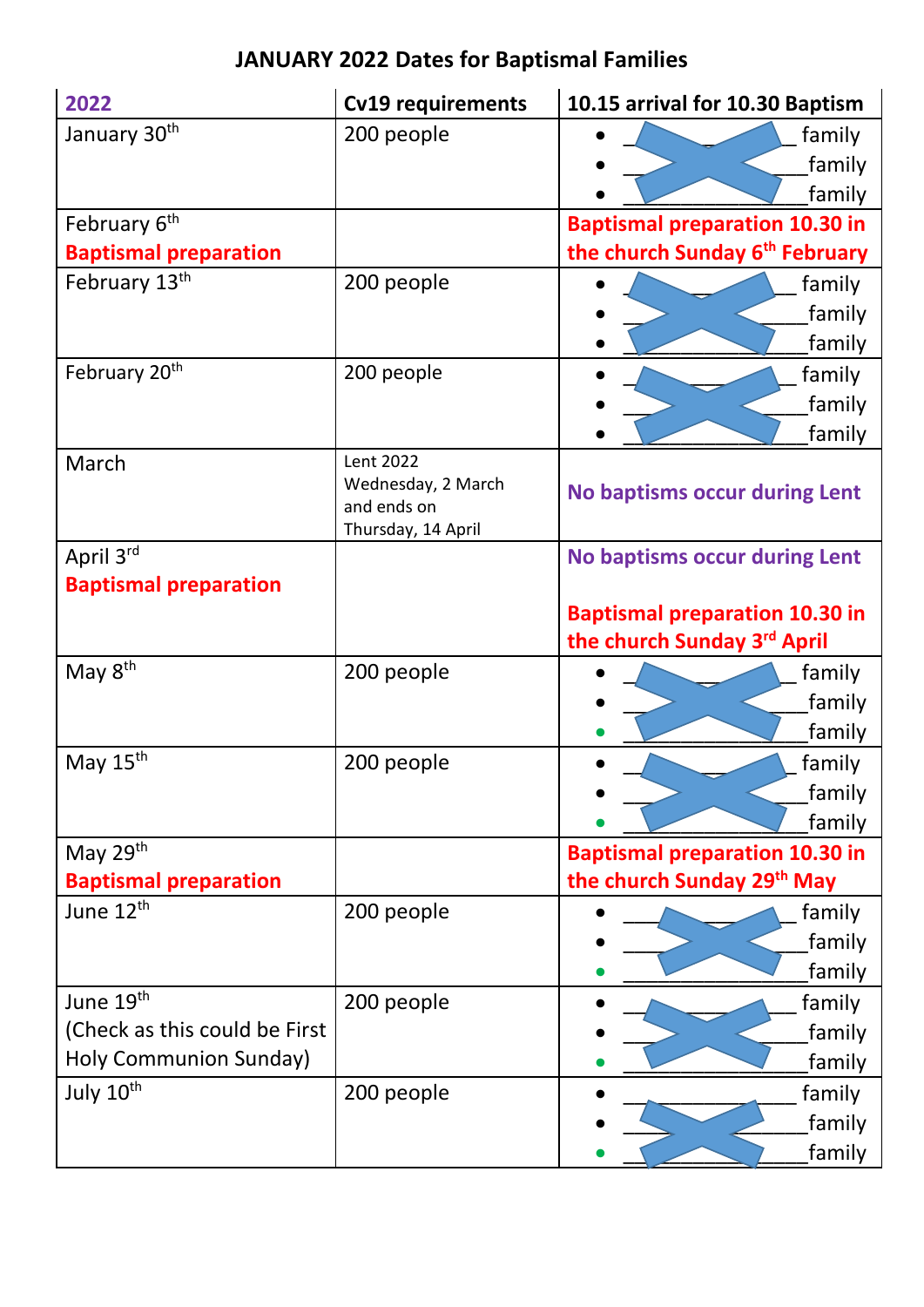## **JANUARY 2022 Dates for Baptismal Families**

| 2022                          | <b>Cv19 requirements</b>          | 10.15 arrival for 10.30 Baptism            |
|-------------------------------|-----------------------------------|--------------------------------------------|
| January 30 <sup>th</sup>      | 200 people                        | family                                     |
|                               |                                   | family                                     |
|                               |                                   | family                                     |
| February 6 <sup>th</sup>      |                                   | <b>Baptismal preparation 10.30 in</b>      |
| <b>Baptismal preparation</b>  |                                   | the church Sunday 6 <sup>th</sup> February |
| February 13th                 | 200 people                        | family                                     |
|                               |                                   | family                                     |
|                               |                                   | family                                     |
| February 20 <sup>th</sup>     | 200 people                        | family                                     |
|                               |                                   | family                                     |
|                               |                                   | family                                     |
| March                         | Lent 2022                         |                                            |
|                               | Wednesday, 2 March<br>and ends on | <b>No baptisms occur during Lent</b>       |
|                               | Thursday, 14 April                |                                            |
| April 3rd                     |                                   | <b>No baptisms occur during Lent</b>       |
| <b>Baptismal preparation</b>  |                                   |                                            |
|                               |                                   | <b>Baptismal preparation 10.30 in</b>      |
|                               |                                   | the church Sunday 3rd April                |
| May 8 <sup>th</sup>           | 200 people                        | family                                     |
|                               |                                   | family                                     |
|                               |                                   | family                                     |
| May 15 <sup>th</sup>          | 200 people                        | family                                     |
|                               |                                   | family                                     |
|                               |                                   | family                                     |
| May 29th                      |                                   | <b>Baptismal preparation 10.30 in</b>      |
| <b>Baptismal preparation</b>  |                                   | the church Sunday 29 <sup>th</sup> May     |
| June 12 <sup>th</sup>         | 200 people                        | family                                     |
|                               |                                   | family                                     |
|                               |                                   | family                                     |
| June 19th                     | 200 people                        | family                                     |
| (Check as this could be First |                                   | family                                     |
| Holy Communion Sunday)        |                                   | family                                     |
| July 10 <sup>th</sup>         | 200 people                        | family                                     |
|                               |                                   | family                                     |
|                               |                                   | family                                     |